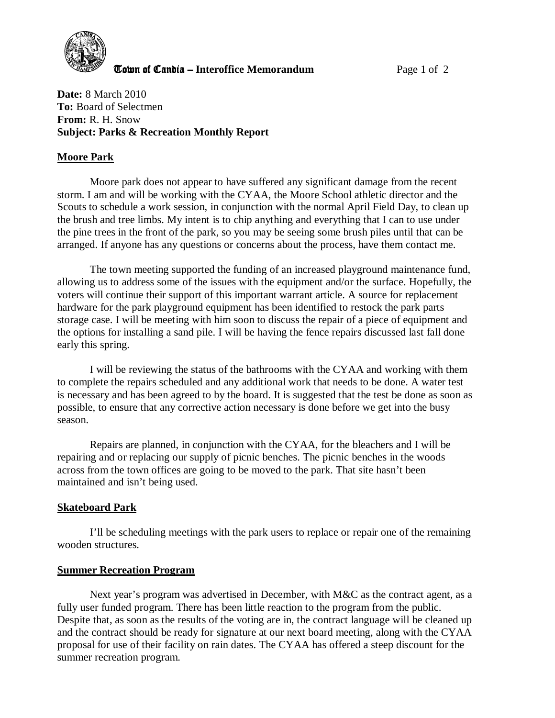

**The United Candia – Interoffice Memorandum** *Page 1 of 2* 

**Date:** 8 March 2010 **To:** Board of Selectmen **From:** R. H. Snow **Subject: Parks & Recreation Monthly Report** 

## **Moore Park**

Moore park does not appear to have suffered any significant damage from the recent storm. I am and will be working with the CYAA, the Moore School athletic director and the Scouts to schedule a work session, in conjunction with the normal April Field Day, to clean up the brush and tree limbs. My intent is to chip anything and everything that I can to use under the pine trees in the front of the park, so you may be seeing some brush piles until that can be arranged. If anyone has any questions or concerns about the process, have them contact me.

The town meeting supported the funding of an increased playground maintenance fund, allowing us to address some of the issues with the equipment and/or the surface. Hopefully, the voters will continue their support of this important warrant article. A source for replacement hardware for the park playground equipment has been identified to restock the park parts storage case. I will be meeting with him soon to discuss the repair of a piece of equipment and the options for installing a sand pile. I will be having the fence repairs discussed last fall done early this spring.

I will be reviewing the status of the bathrooms with the CYAA and working with them to complete the repairs scheduled and any additional work that needs to be done. A water test is necessary and has been agreed to by the board. It is suggested that the test be done as soon as possible, to ensure that any corrective action necessary is done before we get into the busy season.

Repairs are planned, in conjunction with the CYAA, for the bleachers and I will be repairing and or replacing our supply of picnic benches. The picnic benches in the woods across from the town offices are going to be moved to the park. That site hasn't been maintained and isn't being used.

## **Skateboard Park**

 I'll be scheduling meetings with the park users to replace or repair one of the remaining wooden structures.

## **Summer Recreation Program**

Next year's program was advertised in December, with M&C as the contract agent, as a fully user funded program. There has been little reaction to the program from the public. Despite that, as soon as the results of the voting are in, the contract language will be cleaned up and the contract should be ready for signature at our next board meeting, along with the CYAA proposal for use of their facility on rain dates. The CYAA has offered a steep discount for the summer recreation program.